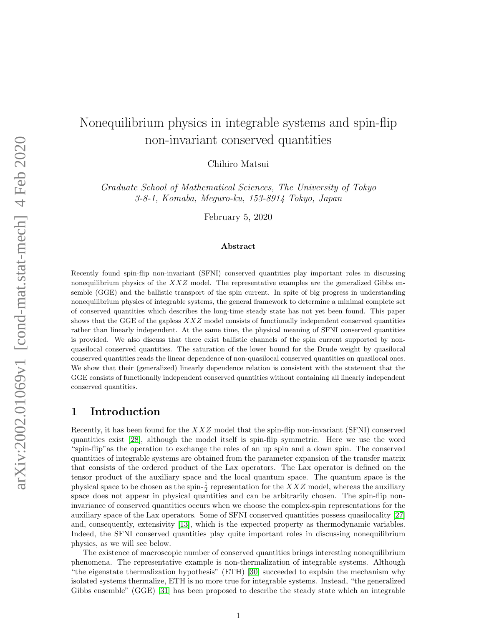# Nonequilibrium physics in integrable systems and spin-flip non-invariant conserved quantities

Chihiro Matsui

Graduate School of Mathematical Sciences, The University of Tokyo 3-8-1, Komaba, Meguro-ku, 153-8914 Tokyo, Japan

February 5, 2020

#### Abstract

Recently found spin-flip non-invariant (SFNI) conserved quantities play important roles in discussing nonequilibrium physics of the  $XXZ$  model. The representative examples are the generalized Gibbs ensemble (GGE) and the ballistic transport of the spin current. In spite of big progress in understanding nonequilibrium physics of integrable systems, the general framework to determine a minimal complete set of conserved quantities which describes the long-time steady state has not yet been found. This paper shows that the GGE of the gapless  $XXZ$  model consists of functionally independent conserved quantities rather than linearly independent. At the same time, the physical meaning of SFNI conserved quantities is provided. We also discuss that there exist ballistic channels of the spin current supported by nonquasilocal conserved quantities. The saturation of the lower bound for the Drude weight by quasilocal conserved quantities reads the linear dependence of non-quasilocal conserved quantities on quasilocal ones. We show that their (generalized) linearly dependence relation is consistent with the statement that the GGE consists of functionally independent conserved quantities without containing all linearly independent conserved quantities.

# 1 Introduction

Recently, it has been found for the  $XXZ$  model that the spin-flip non-invariant (SFNI) conserved quantities exist [\[28\]](#page-18-0), although the model itself is spin-flip symmetric. Here we use the word "spin-flip"as the operation to exchange the roles of an up spin and a down spin. The conserved quantities of integrable systems are obtained from the parameter expansion of the transfer matrix that consists of the ordered product of the Lax operators. The Lax operator is defined on the tensor product of the auxiliary space and the local quantum space. The quantum space is the physical space to be chosen as the spin- $\frac{1}{2}$  representation for the XXZ model, whereas the auxiliary space does not appear in physical quantities and can be arbitrarily chosen. The spin-flip noninvariance of conserved quantities occurs when we choose the complex-spin representations for the auxiliary space of the Lax operators. Some of SFNI conserved quantities possess quasilocality [\[27\]](#page-18-1) and, consequently, extensivity [\[13\]](#page-17-0), which is the expected property as thermodynamic variables. Indeed, the SFNI conserved quantities play quite important roles in discussing nonequilibrium physics, as we will see below.

The existence of macroscopic number of conserved quantities brings interesting nonequilibrium phenomena. The representative example is non-thermalization of integrable systems. Although "the eigenstate thermalization hypothesis" (ETH) [\[30\]](#page-18-2) succeeded to explain the mechanism why isolated systems thermalize, ETH is no more true for integrable systems. Instead, "the generalized Gibbs ensemble" (GGE) [\[31\]](#page-18-3) has been proposed to describe the steady state which an integrable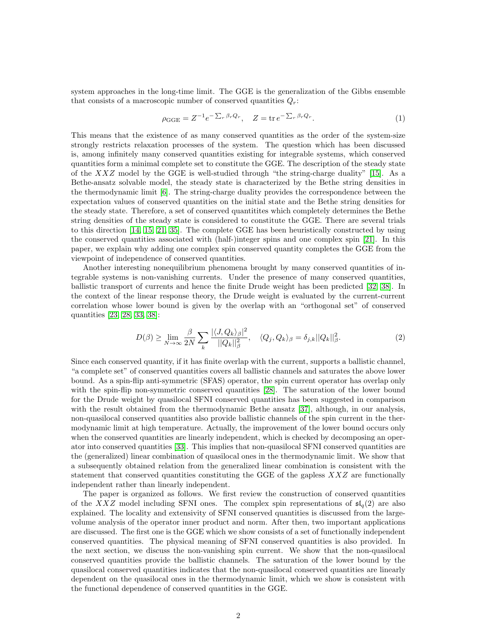system approaches in the long-time limit. The GGE is the generalization of the Gibbs ensemble that consists of a macroscopic number of conserved quantities  $Q_r$ :

<span id="page-1-0"></span>
$$
\rho_{\text{GGE}} = Z^{-1} e^{-\sum_{r} \beta_r Q_r}, \quad Z = \text{tr} \, e^{-\sum_{r} \beta_r Q_r}.\tag{1}
$$

This means that the existence of as many conserved quantities as the order of the system-size strongly restricts relaxation processes of the system. The question which has been discussed is, among infinitely many conserved quantities existing for integrable systems, which conserved quantities form a minimal complete set to constitute the GGE. The description of the steady state of the  $XXZ$  model by the GGE is well-studied through "the string-charge duality" [\[15\]](#page-17-1). As a Bethe-ansatz solvable model, the steady state is characterized by the Bethe string densities in the thermodynamic limit [\[6\]](#page-17-2). The string-charge duality provides the correspondence between the expectation values of conserved quantities on the initial state and the Bethe string densities for the steady state. Therefore, a set of conserved quantitites which completely determines the Bethe string densities of the steady state is considered to constitute the GGE. There are several trials to this direction [\[14,](#page-17-3) [15,](#page-17-1) [21,](#page-18-4) [35\]](#page-18-5). The complete GGE has been heuristically constructed by using the conserved quantities associated with (half-)integer spins and one complex spin [\[21\]](#page-18-4). In this paper, we explain why adding one complex spin conserved quantity completes the GGE from the viewpoint of independence of conserved quantities.

Another interesting nonequilibrium phenomena brought by many conserved quantities of integrable systems is non-vanishing currents. Under the presence of many conserved quantities, ballistic transport of currents and hence the finite Drude weight has been predicted [\[32,](#page-18-6) [38\]](#page-18-7). In the context of the linear response theory, the Drude weight is evaluated by the current-current correlation whose lower bound is given by the overlap with an "orthogonal set" of conserved quantities [\[23,](#page-18-8) [28,](#page-18-0) [33,](#page-18-9) [38\]](#page-18-7):

$$
D(\beta) \ge \lim_{N \to \infty} \frac{\beta}{2N} \sum_{k} \frac{|\langle J, Q_k \rangle_{\beta}|^2}{||Q_k||_{\beta}^2}, \quad \langle Q_j, Q_k \rangle_{\beta} = \delta_{j,k} ||Q_k||_{\beta}^2.
$$
 (2)

Since each conserved quantity, if it has finite overlap with the current, supports a ballistic channel, "a complete set" of conserved quantities covers all ballistic channels and saturates the above lower bound. As a spin-flip anti-symmetric (SFAS) operator, the spin current operator has overlap only with the spin-flip non-symmetric conserved quantities [\[28\]](#page-18-0). The saturation of the lower bound for the Drude weight by quasilocal SFNI conserved quantities has been suggested in comparison with the result obtained from the thermodynamic Bethe ansatz [\[37\]](#page-18-10), although, in our analysis, non-quasilocal conserved quantities also provide ballistic channels of the spin current in the thermodynamic limit at high temperature. Actually, the improvement of the lower bound occurs only when the conserved quantities are linearly independent, which is checked by decomposing an operator into conserved quantities [\[33\]](#page-18-9). This implies that non-quasilocal SFNI conserved quantities are the (generalized) linear combination of quasilocal ones in the thermodynamic limit. We show that a subsequently obtained relation from the generalized linear combination is consistent with the statement that conserved quantities constituting the GGE of the gapless  $XXZ$  are functionally independent rather than linearly independent.

The paper is organized as follows. We first review the construction of conserved quantities of the XXZ model including SFNI ones. The complex spin representations of  $\mathfrak{sl}_q(2)$  are also explained. The locality and extensivity of SFNI conserved quantities is discussed from the largevolume analysis of the operator inner product and norm. After then, two important applications are discussed. The first one is the GGE which we show consists of a set of functionally independent conserved quantities. The physical meaning of SFNI conserved quantities is also provided. In the next section, we discuss the non-vanishing spin current. We show that the non-quasilocal conserved quantities provide the ballistic channels. The saturation of the lower bound by the quasilocal conserved quantities indicates that the non-quasilocal conserved quantities are linearly dependent on the quasilocal ones in the thermodynamic limit, which we show is consistent with the functional dependence of conserved quantities in the GGE.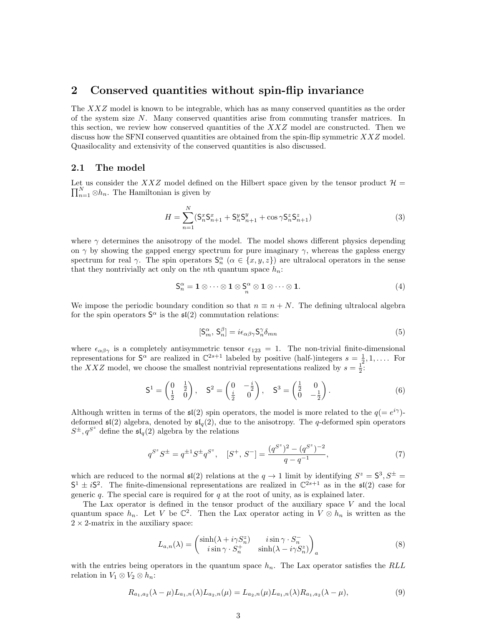# 2 Conserved quantities without spin-flip invariance

The XXZ model is known to be integrable, which has as many conserved quantities as the order of the system size N. Many conserved quantities arise from commuting transfer matrices. In this section, we review how conserved quantities of the  $XXZ$  model are constructed. Then we discuss how the SFNI conserved quantities are obtained from the spin-flip symmetric  $XXZ$  model. Quasilocality and extensivity of the conserved quantities is also discussed.

## 2.1 The model

 $\prod_{n=1}^{N} \otimes h_n$ . The Hamiltonian is given by Let us consider the XXZ model defined on the Hilbert space given by the tensor product  $\mathcal{H} =$ 

<span id="page-2-0"></span>
$$
H = \sum_{n=1}^{N} (S_n^x S_{n+1}^x + S_n^y S_{n+1}^y + \cos \gamma S_n^z S_{n+1}^z)
$$
(3)

where  $\gamma$  determines the anisotropy of the model. The model shows different physics depending on  $\gamma$  by showing the gapped energy spectrum for pure imaginary  $\gamma$ , whereas the gapless energy spectrum for real  $\gamma$ . The spin operators  $\mathsf{S}_n^{\alpha}$   $(\alpha \in \{x, y, z\})$  are ultralocal operators in the sense that they nontrivially act only on the *n*th quantum space  $h_n$ :

$$
S_n^{\alpha} = 1 \otimes \cdots \otimes 1 \otimes S_n^{\alpha} \otimes 1 \otimes \cdots \otimes 1. \tag{4}
$$

We impose the periodic boundary condition so that  $n \equiv n + N$ . The defining ultralocal algebra for the spin operators  $S^{\alpha}$  is the  $\mathfrak{sl}(2)$  commutation relations:

$$
[\mathsf{S}_m^{\alpha}, \mathsf{S}_n^{\beta}] = i\epsilon_{\alpha\beta\gamma} \mathsf{S}_n^{\gamma} \delta_{mn} \tag{5}
$$

where  $\epsilon_{\alpha\beta\gamma}$  is a completely antisymmetric tensor  $\epsilon_{123} = 1$ . The non-trivial finite-dimensional representations for  $S^{\alpha}$  are realized in  $\mathbb{C}^{2s+1}$  labeled by positive (half-)integers  $s = \frac{1}{2}, 1, \ldots$  For the XXZ model, we choose the smallest nontrivial representations realized by  $s = \frac{1}{2}$ .

$$
\mathsf{S}^1 = \begin{pmatrix} 0 & \frac{1}{2} \\ \frac{1}{2} & 0 \end{pmatrix}, \quad \mathsf{S}^2 = \begin{pmatrix} 0 & -\frac{i}{2} \\ \frac{i}{2} & 0 \end{pmatrix}, \quad \mathsf{S}^3 = \begin{pmatrix} \frac{1}{2} & 0 \\ 0 & -\frac{1}{2} \end{pmatrix}.
$$
 (6)

Although written in terms of the  $\mathfrak{sl}(2)$  spin operators, the model is more related to the  $q = e^{i\gamma}$ . deformed  $\mathfrak{sl}(2)$  algebra, denoted by  $\mathfrak{sl}_q(2)$ , due to the anisotropy. The q-deformed spin operators  $S^{\pm}, q^{S^z}$  define the  $\mathfrak{sl}_q(2)$  algebra by the relations

$$
q^{S^z} S^{\pm} = q^{\pm 1} S^{\pm} q^{S^z}, \quad [S^+, S^-] = \frac{(q^{S^z})^2 - (q^{S^z})^{-2}}{q - q^{-1}}, \tag{7}
$$

which are reduced to the normal  $\mathfrak{sl}(2)$  relations at the  $q \to 1$  limit by identifying  $S^z = \mathsf{S}^3, S^{\pm} = \mathsf{S}^3$  $S^1 \pm iS^2$ . The finite-dimensional representations are realized in  $\mathbb{C}^{2s+1}$  as in the  $\mathfrak{sl}(2)$  case for generic q. The special care is required for q at the root of unity, as is explained later.

The Lax operator is defined in the tensor product of the auxiliary space  $V$  and the local quantum space  $h_n$ . Let V be  $\mathbb{C}^2$ . Then the Lax operator acting in  $V \otimes h_n$  is written as the  $2 \times 2$ -matrix in the auxiliary space:

<span id="page-2-1"></span>
$$
L_{a,n}(\lambda) = \begin{pmatrix} \sinh(\lambda + i\gamma S_n^z) & i\sin\gamma \cdot S_n^- \\ i\sin\gamma \cdot S_n^+ & \sinh(\lambda - i\gamma S_n^z) \end{pmatrix}_a
$$
 (8)

with the entries being operators in the quantum space  $h_n$ . The Lax operator satisfies the RLL relation in  $V_1 \otimes V_2 \otimes h_n$ :

$$
R_{a_1,a_2}(\lambda - \mu)L_{a_1,n}(\lambda)L_{a_2,n}(\mu) = L_{a_2,n}(\mu)L_{a_1,n}(\lambda)R_{a_1,a_2}(\lambda - \mu),
$$
\n(9)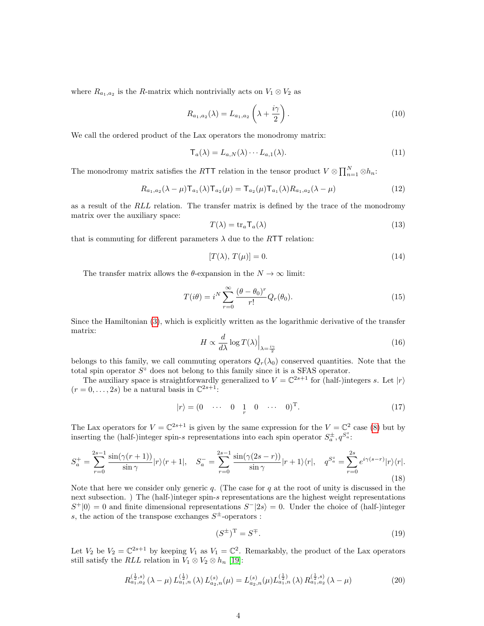where  $R_{a_1,a_2}$  is the R-matrix which nontrivially acts on  $V_1 \otimes V_2$  as

$$
R_{a_1, a_2}(\lambda) = L_{a_1, a_2} \left(\lambda + \frac{i\gamma}{2}\right).
$$
\n<sup>(10)</sup>

We call the ordered product of the Lax operators the monodromy matrix:

$$
\mathsf{T}_a(\lambda) = L_{a,N}(\lambda) \cdots L_{a,1}(\lambda). \tag{11}
$$

The monodromy matrix satisfies the RTT relation in the tensor product  $V \otimes \prod_{n=1}^{N} \otimes h_n$ :

$$
R_{a_1,a_2}(\lambda - \mu) \mathsf{T}_{a_1}(\lambda) \mathsf{T}_{a_2}(\mu) = \mathsf{T}_{a_2}(\mu) \mathsf{T}_{a_1}(\lambda) R_{a_1,a_2}(\lambda - \mu)
$$
\n(12)

as a result of the RLL relation. The transfer matrix is defined by the trace of the monodromy matrix over the auxiliary space:

$$
T(\lambda) = \text{tr}_a \mathsf{T}_a(\lambda) \tag{13}
$$

that is commuting for different parameters  $\lambda$  due to the RTT relation:

$$
[T(\lambda), T(\mu)] = 0.\t(14)
$$

The transfer matrix allows the  $\theta$ -expansion in the  $N \to \infty$  limit:

$$
T(i\theta) = i^N \sum_{r=0}^{\infty} \frac{(\theta - \theta_0)^r}{r!} Q_r(\theta_0).
$$
 (15)

Since the Hamiltonian [\(3\)](#page-2-0), which is explicitly written as the logarithmic derivative of the transfer matrix:

$$
H \propto \frac{d}{d\lambda} \log T(\lambda) \Big|_{\lambda = \frac{i\gamma}{2}} \tag{16}
$$

belongs to this family, we call commuting operators  $Q_r(\lambda_0)$  conserved quantities. Note that the total spin operator  $S<sup>z</sup>$  does not belong to this family since it is a SFAS operator.

The auxiliary space is straightforwardly generalized to  $V = \mathbb{C}^{2s+1}$  for (half-)integers s. Let  $|r\rangle$  $(r=0,\ldots,2s)$  be a natural basis in  $\mathbb{C}^{2s+1}$ .

$$
|r\rangle = (0 \quad \cdots \quad 0 \quad 1 \quad 0 \quad \cdots \quad 0)^{\mathrm{T}}.
$$
 (17)

The Lax operators for  $V = \mathbb{C}^{2s+1}$  is given by the same expression for the  $V = \mathbb{C}^2$  case [\(8\)](#page-2-1) but by inserting the (half-)integer spin-s representations into each spin operator  $S_a^{\pm}$ ,  $q^{S_a^z}$ .

<span id="page-3-0"></span>
$$
S_a^+ = \sum_{r=0}^{2s-1} \frac{\sin(\gamma(r+1))}{\sin \gamma} |r\rangle\langle r+1|, \quad S_a^- = \sum_{r=0}^{2s-1} \frac{\sin(\gamma(2s-r))}{\sin \gamma} |r+1\rangle\langle r|, \quad q^{S_a^z} = \sum_{r=0}^{2s} e^{i\gamma(s-r)} |r\rangle\langle r|.
$$
\n(18)

Note that here we consider only generic q. (The case for q at the root of unity is discussed in the next subsection. ) The (half-)integer spin-s representations are the highest weight representations  $S^+|0\rangle = 0$  and finite dimensional representations  $S^-|2s\rangle = 0$ . Under the choice of (half-)integer s, the action of the transpose exchanges  $S^{\pm}$ -operators :

$$
(S^{\pm})^{\mathrm{T}} = S^{\mp}.
$$
\n<sup>(19)</sup>

Let  $V_2$  be  $V_2 = \mathbb{C}^{2s+1}$  by keeping  $V_1$  as  $V_1 = \mathbb{C}^2$ . Remarkably, the product of the Lax operators still satisfy the RLL relation in  $V_1 \otimes V_2 \otimes h_n$  [\[19\]](#page-18-11):

$$
R_{a_1,a_2}^{(\frac{1}{2},s)}\left(\lambda-\mu\right)L_{a_1,n}^{(\frac{1}{2})}\left(\lambda\right)L_{a_2,n}^{(s)}\left(\mu\right)=L_{a_2,n}^{(s)}\left(\mu\right)L_{a_1,n}^{(\frac{1}{2})}\left(\lambda\right)R_{a_1,a_2}^{(\frac{1}{2},s)}\left(\lambda-\mu\right)
$$
(20)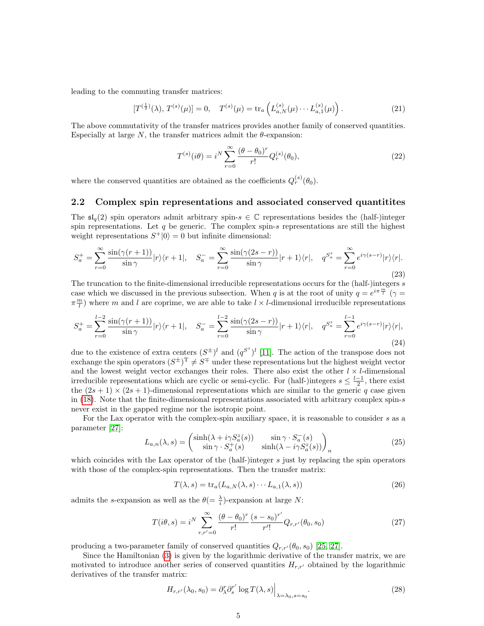leading to the commuting transfer matrices:

$$
[T^{(\frac{1}{2})}(\lambda), T^{(s)}(\mu)] = 0, \quad T^{(s)}(\mu) = \text{tr}_a\left(L_{a,N}^{(s)}(\mu) \cdots L_{a,1}^{(s)}(\mu)\right). \tag{21}
$$

The above commutativity of the transfer matrices provides another family of conserved quantities. Especially at large  $N$ , the transfer matrices admit the  $\theta$ -expansion:

$$
T^{(s)}(i\theta) = i^N \sum_{r=0}^{\infty} \frac{(\theta - \theta_0)^r}{r!} Q_r^{(s)}(\theta_0),
$$
\n(22)

where the conserved quantities are obtained as the coefficients  $Q_r^{(s)}(\theta_0)$ .

## 2.2 Complex spin representations and associated conserved quantitites

The  $\mathfrak{sl}_q(2)$  spin operators admit arbitrary spin- $s \in \mathbb{C}$  representations besides the (half-)integer spin representations. Let q be generic. The complex spin-s representations are still the highest weight representations  $S^+|0\rangle = 0$  but infinite dimensional:

$$
S_a^+ = \sum_{r=0}^\infty \frac{\sin(\gamma(r+1))}{\sin \gamma} |r\rangle\langle r+1|, \quad S_a^- = \sum_{r=0}^\infty \frac{\sin(\gamma(2s-r))}{\sin \gamma} |r+1\rangle\langle r|, \quad q^{S_a^z} = \sum_{r=0}^\infty e^{i\gamma(s-r)} |r\rangle\langle r|.
$$
\n(23)

The truncation to the finite-dimensional irreducible representations occurs for the (half-)integers  $s$ case which we discussed in the previous subsection. When q is at the root of unity  $q = e^{i\pi \frac{m}{l}}$   $(\gamma =$  $\pi \frac{m}{l}$ ) where m and l are coprime, we are able to take  $l \times l$ -dimensional irreducible representations

$$
S_a^+ = \sum_{r=0}^{l-2} \frac{\sin(\gamma(r+1))}{\sin \gamma} |r\rangle\langle r+1|, \quad S_a^- = \sum_{r=0}^{l-2} \frac{\sin(\gamma(2s-r))}{\sin \gamma} |r+1\rangle\langle r|, \quad q^{S_a^z} = \sum_{r=0}^{l-1} e^{i\gamma(s-r)} |r\rangle\langle r|,
$$
\n(24)

due to the existence of extra centers  $(S^{\pm})^l$  and  $(q^{S^z})^l$  [\[11\]](#page-17-4). The action of the transpose does not exchange the spin operators  $(S^{\pm})^T \neq S^{\mp}$  under these representations but the highest weight vector and the lowest weight vector exchanges their roles. There also exist the other  $l \times l$ -dimensional irreducible representations which are cyclic or semi-cyclic. For (half-)integers  $s \leq \frac{l-1}{2}$ , there exist the  $(2s + 1) \times (2s + 1)$ -dimensional representations which are similar to the generic q case given in [\(18\)](#page-3-0). Note that the finite-dimensional representations associated with arbitrary complex spin-s never exist in the gapped regime nor the isotropic point.

For the Lax operator with the complex-spin auxiliary space, it is reasonable to consider s as a parameter [\[27\]](#page-18-1):

$$
L_{a,n}(\lambda, s) = \begin{pmatrix} \sinh(\lambda + i\gamma S_a^z(s)) & \sin\gamma \cdot S_a^-(s) \\ \sin\gamma \cdot S_a^+(s) & \sinh(\lambda - i\gamma S_a^z(s)) \end{pmatrix}_n
$$
 (25)

which coincides with the Lax operator of the  $(half-)$  integer s just by replacing the spin operators with those of the complex-spin representations. Then the transfer matrix:

$$
T(\lambda, s) = \text{tr}_a(L_{a,N}(\lambda, s) \cdots L_{a,1}(\lambda, s))
$$
\n(26)

admits the s-expansion as well as the  $\theta = \frac{\lambda}{i}$ -expansion at large N:

<span id="page-4-0"></span>
$$
T(i\theta, s) = i^N \sum_{r,r'=0}^{\infty} \frac{(\theta - \theta_0)^r}{r!} \frac{(s - s_0)^{r'}}{r'!} Q_{r,r'}(\theta_0, s_0)
$$
(27)

producing a two-parameter family of conserved quantities  $Q_{r,r'}(\theta_0, s_0)$  [\[25,](#page-18-12) [27\]](#page-18-1).

Since the Hamiltonian [\(3\)](#page-2-0) is given by the logarithmic derivative of the transfer matrix, we are motivated to introduce another series of conserved quantities  $H_{r,r'}$  obtained by the logarithmic derivatives of the transfer matrix:

$$
H_{r,r'}(\lambda_0, s_0) = \partial_{\lambda}^r \partial_s^{r'} \log T(\lambda, s) \Big|_{\lambda = \lambda_0, s = s_0}.
$$
\n(28)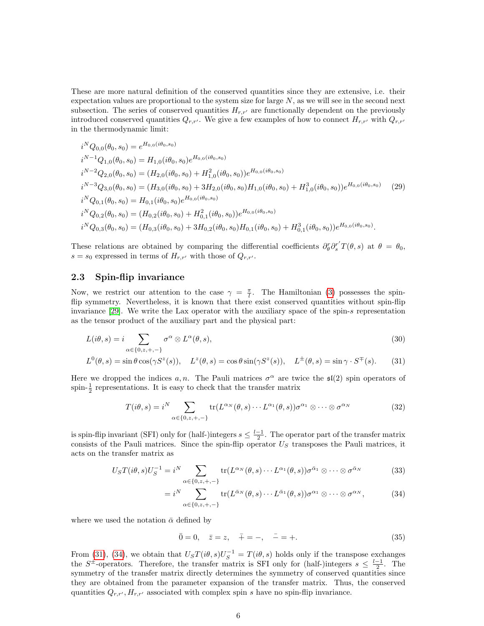These are more natural definition of the conserved quantities since they are extensive, i.e. their expectation values are proportional to the system size for large  $N$ , as we will see in the second next subsection. The series of conserved quantities  $H_{r,r'}$  are functionally dependent on the previously introduced conserved quantities  $Q_{r,r'}$ . We give a few examples of how to connect  $H_{r,r'}$  with  $Q_{r,r'}$ in the thermodynamic limit:

$$
i^{N}Q_{0,0}(\theta_{0},s_{0}) = e^{H_{0,0}(i\theta_{0},s_{0})}
$$
  
\n
$$
i^{N-1}Q_{1,0}(\theta_{0},s_{0}) = H_{1,0}(i\theta_{0},s_{0})e^{H_{0,0}(i\theta_{0},s_{0})}
$$
  
\n
$$
i^{N-2}Q_{2,0}(\theta_{0},s_{0}) = (H_{2,0}(i\theta_{0},s_{0}) + H_{1,0}^{2}(i\theta_{0},s_{0}))e^{H_{0,0}(i\theta_{0},s_{0})}
$$
  
\n
$$
i^{N-3}Q_{3,0}(\theta_{0},s_{0}) = (H_{3,0}(i\theta_{0},s_{0}) + 3H_{2,0}(i\theta_{0},s_{0})H_{1,0}(i\theta_{0},s_{0}) + H_{1,0}^{3}(i\theta_{0},s_{0}))e^{H_{0,0}(i\theta_{0},s_{0})}
$$
  
\n
$$
i^{N}Q_{0,1}(\theta_{0},s_{0}) = H_{0,1}(i\theta_{0},s_{0})e^{H_{0,0}(i\theta_{0},s_{0})}
$$
  
\n
$$
i^{N}Q_{0,2}(\theta_{0},s_{0}) = (H_{0,2}(i\theta_{0},s_{0}) + H_{0,1}^{2}(i\theta_{0},s_{0}))e^{H_{0,0}(i\theta_{0},s_{0})}
$$
  
\n
$$
i^{N}Q_{0,3}(\theta_{0},s_{0}) = (H_{0,3}(i\theta_{0},s_{0}) + 3H_{0,2}(i\theta_{0},s_{0})H_{0,1}(i\theta_{0},s_{0}) + H_{0,1}^{3}(i\theta_{0},s_{0}))e^{H_{0,0}(i\theta_{0},s_{0})}.
$$

These relations are obtained by comparing the differential coefficients  $\partial_{\theta}^{r} \partial_{s}^{r'} T(\theta, s)$  at  $\theta = \theta_{0}$ ,  $s = s_0$  expressed in terms of  $H_{r,r'}$  with those of  $Q_{r,r'}$ .

## 2.3 Spin-flip invariance

Now, we restrict our attention to the case  $\gamma = \frac{\pi}{l}$ . The Hamiltonian [\(3\)](#page-2-0) possesses the spinflip symmetry. Nevertheless, it is known that there exist conserved quantities without spin-flip invariance [\[29\]](#page-18-13). We write the Lax operator with the auxiliary space of the spin-s representation as the tensor product of the auxiliary part and the physical part:

$$
L(i\theta, s) = i \sum_{\alpha \in \{0, z, +, -\}} \sigma^{\alpha} \otimes L^{\alpha}(\theta, s),
$$
\n(30)

$$
L^{0}(\theta, s) = \sin \theta \cos(\gamma S^{z}(s)), \quad L^{z}(\theta, s) = \cos \theta \sin(\gamma S^{z}(s)), \quad L^{\pm}(\theta, s) = \sin \gamma \cdot S^{\mp}(s). \tag{31}
$$

Here we dropped the indices a, n. The Pauli matrices  $\sigma^{\alpha}$  are twice the  $\mathfrak{sl}(2)$  spin operators of spin- $\frac{1}{2}$  representations. It is easy to check that the transfer matrix

$$
T(i\theta, s) = i^N \sum_{\alpha \in \{0, z, +, -\}} \text{tr}(L^{\alpha_N}(\theta, s) \cdots L^{\alpha_1}(\theta, s)) \sigma^{\alpha_1} \otimes \cdots \otimes \sigma^{\alpha_N}
$$
(32)

is spin-flip invariant (SFI) only for (half-)integers  $s \leq \frac{l-1}{2}$ . The operator part of the transfer matrix consists of the Pauli matrices. Since the spin-flip operator  $U<sub>S</sub>$  transposes the Pauli matrices, it acts on the transfer matrix as

$$
U_{S}T(i\theta,s)U_{S}^{-1} = i^{N} \sum_{\alpha \in \{0,z, +, -\}} \text{tr}(L^{\alpha_{N}}(\theta,s) \cdots L^{\alpha_{1}}(\theta,s))\sigma^{\bar{\alpha}_{1}} \otimes \cdots \otimes \sigma^{\bar{\alpha}_{N}}
$$
(33)

<span id="page-5-0"></span>
$$
=i^N\sum_{\alpha\in\{0,z,+,-\}}\text{tr}(L^{\bar{\alpha}_N}(\theta,s)\cdots L^{\bar{\alpha}_1}(\theta,s))\sigma^{\alpha_1}\otimes\cdots\otimes\sigma^{\alpha_N},\qquad(34)
$$

where we used the notation  $\bar{\alpha}$  defined by

<span id="page-5-1"></span>
$$
\bar{0} = 0, \quad \bar{z} = z, \quad \bar{+} = -, \quad \bar{-} = +.
$$
 (35)

From [\(31\)](#page-5-0), [\(34\)](#page-5-1), we obtain that  $U_ST(i\theta,s)U_S^{-1}=T(i\theta,s)$  holds only if the transpose exchanges the  $S^{\pm}$ -operators. Therefore, the transfer matrix is SFI only for (half-)integers  $s \leq \frac{l-1}{2}$ . The symmetry of the transfer matrix directly determines the symmetry of conserved quantities since they are obtained from the parameter expansion of the transfer matrix. Thus, the conserved quantities  $Q_{r,r'}$ ,  $H_{r,r'}$  associated with complex spin s have no spin-flip invariance.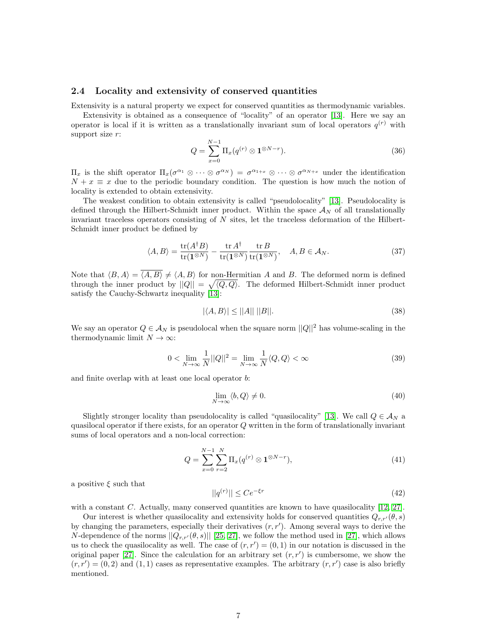## 2.4 Locality and extensivity of conserved quantities

Extensivity is a natural property we expect for conserved quantities as thermodynamic variables.

Extensivity is obtained as a consequence of "locality" of an operator [\[13\]](#page-17-0). Here we say an operator is local if it is written as a translationally invariant sum of local operators  $q^{(r)}$  with support size r:

$$
Q = \sum_{x=0}^{N-1} \Pi_x(q^{(r)} \otimes \mathbf{1}^{\otimes N-r}).
$$
\n(36)

 $\Pi_x$  is the shift operator  $\Pi_x(\sigma^{\alpha_1} \otimes \cdots \otimes \sigma^{\alpha_N}) = \sigma^{\alpha_{1+x}} \otimes \cdots \otimes \sigma^{\alpha_{N+x}}$  under the identification  $N + x \equiv x$  due to the periodic boundary condition. The question is how much the notion of locality is extended to obtain extensivity.

The weakest condition to obtain extensivity is called "pseudolocality" [\[13\]](#page-17-0). Pseudolocality is defined through the Hilbert-Schmidt inner product. Within the space  $\mathcal{A}_N$  of all translationally invariant traceless operators consisting of  $N$  sites, let the traceless deformation of the Hilbert-Schmidt inner product be defined by

$$
\langle A, B \rangle = \frac{\text{tr}(A^{\dagger}B)}{\text{tr}(\mathbf{1}^{\otimes N})} - \frac{\text{tr}A^{\dagger}}{\text{tr}(\mathbf{1}^{\otimes N})} \frac{\text{tr}B}{\text{tr}(\mathbf{1}^{\otimes N})}, \quad A, B \in \mathcal{A}_N.
$$
 (37)

Note that  $\langle B, A \rangle = \overline{\langle A, B \rangle} \neq \langle A, B \rangle$  for non-Hermitian A and B. The deformed norm is defined through the inner product by  $||Q|| = \sqrt{\langle Q, Q \rangle}$ . The deformed Hilbert-Schmidt inner product satisfy the Cauchy-Schwartz inequality [\[13\]](#page-17-0):

$$
|\langle A, B \rangle| \le ||A|| \, ||B||. \tag{38}
$$

We say an operator  $Q \in \mathcal{A}_N$  is pseudolocal when the square norm  $||Q||^2$  has volume-scaling in the thermodynamic limit  $N \to \infty$ :

$$
0 < \lim_{N \to \infty} \frac{1}{N} ||Q||^2 = \lim_{N \to \infty} \frac{1}{N} \langle Q, Q \rangle < \infty \tag{39}
$$

and finite overlap with at least one local operator b:

$$
\lim_{N \to \infty} \langle b, Q \rangle \neq 0. \tag{40}
$$

Slightly stronger locality than pseudolocality is called "quasilocality" [\[13\]](#page-17-0). We call  $Q \in A_N$  a quasilocal operator if there exists, for an operator Q written in the form of translationally invariant sums of local operators and a non-local correction:

$$
Q = \sum_{x=0}^{N-1} \sum_{r=2}^{N} \Pi_x(q^{(r)} \otimes \mathbf{1}^{\otimes N-r}), \tag{41}
$$

a positive  $\xi$  such that

$$
||q^{(r)}|| \leq Ce^{-\xi r} \tag{42}
$$

with a constant  $C$ . Actually, many conserved quantities are known to have quasilocality  $[12, 27]$  $[12, 27]$ .

Our interest is whether quasilocality and extensivity holds for conserved quantities  $Q_{r,r}(\theta, s)$ by changing the parameters, especially their derivatives  $(r, r')$ . Among several ways to derive the N-dependence of the norms  $||Q_{r,r'}(\theta, s)||$  [\[25,](#page-18-12) [27\]](#page-18-1), we follow the method used in [\[27\]](#page-18-1), which allows us to check the quasilocality as well. The case of  $(r, r') = (0, 1)$  in our notation is discussed in the original paper [\[27\]](#page-18-1). Since the calculation for an arbitrary set  $(r, r')$  is cumbersome, we show the  $(r, r') = (0, 2)$  and  $(1, 1)$  cases as representative examples. The arbitrary  $(r, r')$  case is also briefly mentioned.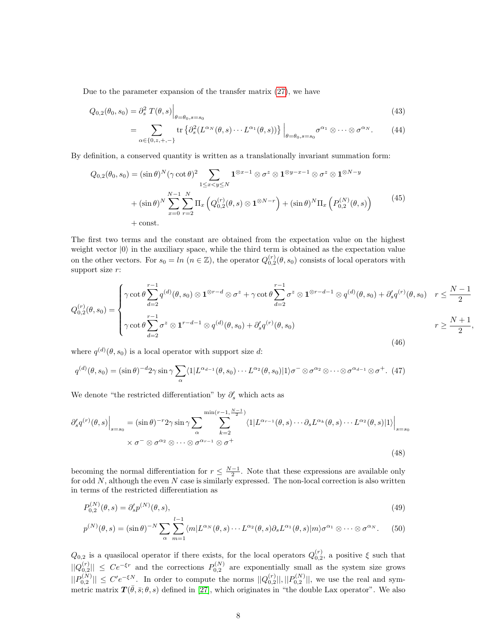Due to the parameter expansion of the transfer matrix [\(27\)](#page-4-0), we have

$$
Q_{0,2}(\theta_0, s_0) = \partial_s^2 T(\theta, s) \Big|_{\theta = \theta_0, s = s_0} \tag{43}
$$

$$
= \sum_{\alpha \in \{0, z, +, -\}} \text{tr}\left\{\partial_s^2 (L^{\alpha_N}(\theta, s) \cdots L^{\alpha_1}(\theta, s))\right\}\Big|_{\theta = \theta_0, s = s_0} \sigma^{\alpha_1} \otimes \cdots \otimes \sigma^{\alpha_N}.
$$
 (44)

By definition, a conserved quantity is written as a translationally invariant summation form:

$$
Q_{0,2}(\theta_0, s_0) = (\sin \theta)^N (\gamma \cot \theta)^2 \sum_{1 \le x < y \le N} \mathbf{1}^{\otimes x-1} \otimes \sigma^z \otimes \mathbf{1}^{\otimes y-x-1} \otimes \sigma^z \otimes \mathbf{1}^{\otimes N-y} + (\sin \theta)^N \sum_{x=0}^{N-1} \sum_{r=2}^N \Pi_x \left( Q_{0,2}^{(r)}(\theta, s) \otimes \mathbf{1}^{\otimes N-r} \right) + (\sin \theta)^N \Pi_x \left( P_{0,2}^{(N)}(\theta, s) \right) + \text{const.}
$$
\n
$$
(45)
$$

The first two terms and the constant are obtained from the expectation value on the highest weight vector  $|0\rangle$  in the auxiliary space, while the third term is obtained as the expectation value on the other vectors. For  $s_0 = \ln (n \in \mathbb{Z})$ , the operator  $Q_{0,2}^{(r)}(\theta, s_0)$  consists of local operators with support size r:

$$
Q_{0,2}^{(r)}(\theta, s_0) = \begin{cases} \gamma \cot \theta \sum_{d=2}^{r-1} q^{(d)}(\theta, s_0) \otimes \mathbf{1}^{\otimes r-d} \otimes \sigma^z + \gamma \cot \theta \sum_{d=2}^{r-1} \sigma^z \otimes \mathbf{1}^{\otimes r-d-1} \otimes q^{(d)}(\theta, s_0) + \partial_s' q^{(r)}(\theta, s_0) & r \leq \frac{N-1}{2} \\ \gamma \cot \theta \sum_{d=2}^{r-1} \sigma^z \otimes \mathbf{1}^{r-d-1} \otimes q^{(d)}(\theta, s_0) + \partial_s' q^{(r)}(\theta, s_0) & r \geq \frac{N+1}{2}, \end{cases}
$$
\n
$$
(46)
$$

where  $q^{(d)}(\theta, s_0)$  is a local operator with support size d:

$$
q^{(d)}(\theta, s_0) = (\sin \theta)^{-d} 2\gamma \sin \gamma \sum_{\alpha} \langle 1 | L^{\alpha_{d-1}}(\theta, s_0) \cdots L^{\alpha_2}(\theta, s_0) | 1 \rangle \sigma^{-} \otimes \sigma^{\alpha_2} \otimes \cdots \otimes \sigma^{\alpha_{d-1}} \otimes \sigma^{+}.
$$
 (47)

We denote "the restricted differentiation" by  $\partial'_s$  which acts as

$$
\partial_s' q^{(r)}(\theta, s) \Big|_{s=s_0} = (\sin \theta)^{-r} 2\gamma \sin \gamma \sum_{\alpha} \sum_{k=2}^{\min(r-1, \frac{N-1}{2})} \langle 1 | L^{\alpha_{r-1}}(\theta, s) \cdots \partial_s L^{\alpha_k}(\theta, s) \cdots L^{\alpha_2}(\theta, s) | 1 \rangle \Big|_{s=s_0}
$$
  
 
$$
\times \sigma^- \otimes \sigma^{\alpha_2} \otimes \cdots \otimes \sigma^{\alpha_{r-1}} \otimes \sigma^+
$$
(48)

becoming the normal differentiation for  $r \leq \frac{N-1}{2}$ . Note that these expressions are available only for odd  $N$ , although the even  $N$  case is similarly expressed. The non-local correction is also written in terms of the restricted differentiation as

$$
P_{0,2}^{(N)}(\theta,s) = \partial_s' p^{(N)}(\theta,s),\tag{49}
$$

$$
p^{(N)}(\theta,s) = (\sin \theta)^{-N} \sum_{\alpha} \sum_{m=1}^{l-1} \langle m | L^{\alpha_N}(\theta,s) \cdots L^{\alpha_2}(\theta,s) \partial_s L^{\alpha_1}(\theta,s) | m \rangle \sigma^{\alpha_1} \otimes \cdots \otimes \sigma^{\alpha_N}.
$$
 (50)

 $Q_{0,2}$  is a quasilocal operator if there exists, for the local operators  $Q_{0,2}^{(r)}$ , a positive  $\xi$  such that  $||Q_{0,2}^{(r)}|| \leq Ce^{-\xi r}$  and the corrections  $P_{0,2}^{(N)}$  are exponentially small as the system size grows  $||P_{0,2}^{(N)}|| \leq C'e^{-\xi N}$ . In order to compute the norms  $||Q_{0,2}^{(r)}||, ||P_{0,2}^{(N)}||$ , we use the real and symmetric matrix  $T(\bar{\theta}, \bar{s}; \theta, s)$  defined in [\[27\]](#page-18-1), which originates in "the double Lax operator". We also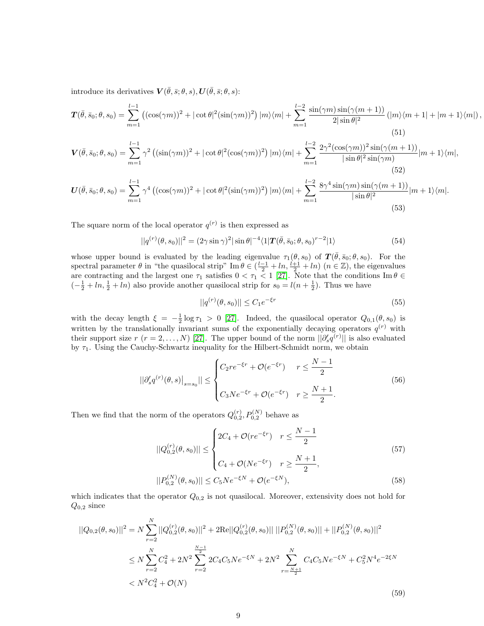introduce its derivatives  $\mathbf{V}(\bar{\theta},\bar{s};\theta,s), \mathbf{U}(\bar{\theta},\bar{s};\theta,s)$ :

$$
\boldsymbol{T}(\bar{\theta},\bar{s}_{0};\theta,s_{0})=\sum_{m=1}^{l-1}\left((\cos(\gamma m))^{2}+|\cot\theta|^{2}(\sin(\gamma m))^{2}\right)|m\rangle\langle m|+\sum_{m=1}^{l-2}\frac{\sin(\gamma m)\sin(\gamma(m+1))}{2|\sin\theta|^{2}}\left(|m\rangle\langle m+1|+|m+1\rangle\langle m|\right),\tag{51}
$$

$$
\mathbf{V}(\bar{\theta},\bar{s}_0;\theta,s_0) = \sum_{m=1}^{l-1} \gamma^2 \left( (\sin(\gamma m))^2 + |\cot \theta|^2 (\cos(\gamma m))^2 \right) |m\rangle\langle m| + \sum_{m=1}^{l-2} \frac{2\gamma^2 (\cos(\gamma m))^2 \sin(\gamma (m+1))}{|\sin \theta|^2 \sin(\gamma m)} |m+1\rangle\langle m|, \tag{52}
$$

$$
\boldsymbol{U}(\bar{\theta},\bar{s}_{0};\theta,s_{0})=\sum_{m=1}^{l-1}\gamma^{4}\left((\cos(\gamma m))^{2}+|\cot\theta|^{2}(\sin(\gamma m))^{2}\right)|m\rangle\langle m|+\sum_{m=1}^{l-2}\frac{8\gamma^{4}\sin(\gamma m)\sin(\gamma(m+1))}{|\sin\theta|^{2}}|m+1\rangle\langle m|.
$$
\n(53)

The square norm of the local operator  $q^{(r)}$  is then expressed as

$$
||q^{(r)}(\theta, s_0)||^2 = (2\gamma \sin \gamma)^2 |\sin \theta|^{-4} \langle 1 | \mathbf{T}(\bar{\theta}, \bar{s}_0; \theta, s_0)^{r-2} | 1 \rangle
$$
 (54)

whose upper bound is evaluated by the leading eigenvalue  $\tau_1(\theta, s_0)$  of  $\mathbf{T}(\bar{\theta}, \bar{s}_0; \theta, s_0)$ . For the spectral parameter  $\theta$  in "the quasilocal strip" Im  $\theta \in (\frac{l-1}{2} + ln, \frac{l+1}{2} + ln)$   $(n \in \mathbb{Z})$ , the eigenvalues are contracting and the largest one  $\tau_1$  satisfies  $0 < \tau_1 < 1$  [\[27\]](#page-18-1). Note that the conditions Im  $\theta \in$  $\left(-\frac{1}{2} + \ln, \frac{1}{2} + \ln\right)$  also provide another quasilocal strip for  $s_0 = l(n + \frac{1}{2})$ . Thus we have

$$
||q^{(r)}(\theta, s_0)|| \le C_1 e^{-\xi r}
$$
\n(55)

with the decay length  $\xi = -\frac{1}{2} \log \tau_1 > 0$  [\[27\]](#page-18-1). Indeed, the quasilocal operator  $Q_{0,1}(\theta, s_0)$  is written by the translationally invariant sums of the exponentially decaying operators  $q^{(r)}$  with their support size  $r(r = 2, ..., N)$  [\[27\]](#page-18-1). The upper bound of the norm  $||\partial_s q^{(r)}||$  is also evaluated by  $\tau_1$ . Using the Cauchy-Schwartz inequality for the Hilbert-Schmidt norm, we obtain

$$
||\partial_s' q^{(r)}(\theta, s)|_{s=s_0}|| \leq \begin{cases} C_2 r e^{-\xi r} + \mathcal{O}(e^{-\xi r}) & r \leq \frac{N-1}{2} \\ C_3 N e^{-\xi r} + \mathcal{O}(e^{-\xi r}) & r \geq \frac{N+1}{2} .\end{cases}
$$
(56)

Then we find that the norm of the operators  $Q_{0,2}^{(r)}, P_{0,2}^{(N)}$  behave as

$$
||Q_{0,2}^{(r)}(\theta, s_0)|| \le \begin{cases} 2C_4 + \mathcal{O}(re^{-\xi r}) & r \le \frac{N-1}{2} \\ C_4 + \mathcal{O}(Ne^{-\xi r}) & r \ge \frac{N+1}{2}, \end{cases}
$$
(57)  

$$
||P_{0,2}^{(N)}(\theta, s_0)|| \le C_5Ne^{-\xi N} + \mathcal{O}(e^{-\xi N}),
$$

which indicates that the operator 
$$
Q_{0,2}
$$
 is not quasilocal. Moreover, extensivity does not hold for  $Q_{0,2}$  since

$$
||Q_{0,2}(\theta, s_0)||^2 = N \sum_{r=2}^{N} ||Q_{0,2}^{(r)}(\theta, s_0)||^2 + 2\text{Re}||Q_{0,2}^{(r)}(\theta, s_0)|| \, ||P_{0,2}^{(N)}(\theta, s_0)|| + ||P_{0,2}^{(N)}(\theta, s_0)||^2
$$
  

$$
\leq N \sum_{r=2}^{N} C_4^2 + 2N^2 \sum_{r=2}^{\frac{N-1}{2}} 2C_4 C_5 N e^{-\xi N} + 2N^2 \sum_{r=\frac{N+1}{2}}^{N} C_4 C_5 N e^{-\xi N} + C_5^2 N^4 e^{-2\xi N}
$$
  

$$
< N^2 C_4^2 + \mathcal{O}(N)
$$
 (59)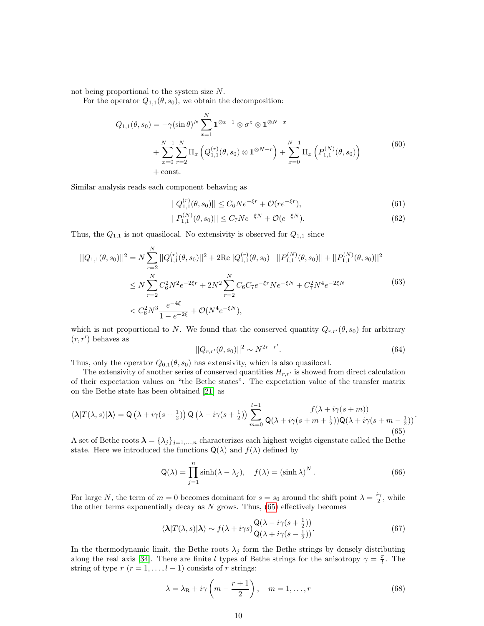not being proportional to the system size N.

For the operator  $Q_{1,1}(\theta, s_0)$ , we obtain the decomposition:

$$
Q_{1,1}(\theta, s_0) = -\gamma (\sin \theta)^N \sum_{x=1}^N \mathbf{1}^{\otimes x-1} \otimes \sigma^z \otimes \mathbf{1}^{\otimes N-x} + \sum_{x=0}^{N-1} \sum_{r=2}^N \Pi_x \left( Q_{1,1}^{(r)}(\theta, s_0) \otimes \mathbf{1}^{\otimes N-r} \right) + \sum_{x=0}^{N-1} \Pi_x \left( P_{1,1}^{(N)}(\theta, s_0) \right) + \text{const.}
$$
 (60)

Similar analysis reads each component behaving as

$$
||Q_{1,1}^{(r)}(\theta, s_0)|| \le C_6 N e^{-\xi r} + \mathcal{O}(r e^{-\xi r}),\tag{61}
$$

$$
||P_{1,1}^{(N)}(\theta, s_0)|| \le C_7 N e^{-\xi N} + \mathcal{O}(e^{-\xi N}).
$$
\n(62)

Thus, the  $Q_{1,1}$  is not quasilocal. No extensivity is observed for  $Q_{1,1}$  since

$$
||Q_{1,1}(\theta, s_0)||^2 = N \sum_{r=2}^{N} ||Q_{1,1}^{(r)}(\theta, s_0)||^2 + 2\text{Re}||Q_{1,1}^{(r)}(\theta, s_0)|| \, ||P_{1,1}^{(N)}(\theta, s_0)|| + ||P_{1,1}^{(N)}(\theta, s_0)||^2
$$
  
\n
$$
\leq N \sum_{r=2}^{N} C_6^2 N^2 e^{-2\xi r} + 2N^2 \sum_{r=2}^{N} C_6 C_7 e^{-\xi r} N e^{-\xi N} + C_7^2 N^4 e^{-2\xi N}
$$
  
\n
$$
< C_6^2 N^3 \frac{e^{-4\xi}}{1 - e^{-2\xi}} + \mathcal{O}(N^4 e^{-\xi N}),
$$
\n(63)

which is not proportional to N. We found that the conserved quantity  $Q_{r,r'}(\theta, s_0)$  for arbitrary  $(r, r')$  behaves as

<span id="page-9-2"></span>
$$
||Q_{r,r'}(\theta, s_0)||^2 \sim N^{2r+r'}.
$$
\n(64)

Thus, only the operator  $Q_{0,1}(\theta, s_0)$  has extensivity, which is also quasilocal.

The extensivity of another series of conserved quantities  $H_{r,r'}$  is showed from direct calculation of their expectation values on "the Bethe states". The expectation value of the transfer matrix on the Bethe state has been obtained [\[21\]](#page-18-4) as

<span id="page-9-0"></span>
$$
\langle \lambda | T(\lambda, s) | \lambda \rangle = Q\left(\lambda + i\gamma(s + \frac{1}{2})\right) Q\left(\lambda - i\gamma(s + \frac{1}{2})\right) \sum_{m=0}^{l-1} \frac{f(\lambda + i\gamma(s + m))}{Q(\lambda + i\gamma(s + m + \frac{1}{2}))Q(\lambda + i\gamma(s + m - \frac{1}{2}))}.
$$
\n
$$
(65)
$$

A set of Bethe roots  $\lambda = \{\lambda_j\}_{j=1,\dots,n}$  characterizes each highest weight eigenstate called the Bethe state. Here we introduced the functions  $\mathsf{Q}(\lambda)$  and  $f(\lambda)$  defined by

$$
Q(\lambda) = \prod_{j=1}^{n} \sinh(\lambda - \lambda_j), \quad f(\lambda) = (\sinh \lambda)^N.
$$
 (66)

For large N, the term of  $m=0$  becomes dominant for  $s=s_0$  around the shift point  $\lambda=\frac{i\gamma}{2}$ , while the other terms exponentially decay as  $N$  grows. Thus,  $(65)$  effectively becomes

<span id="page-9-1"></span>
$$
\langle \lambda | T(\lambda, s) | \lambda \rangle \sim f(\lambda + i\gamma s) \frac{Q(\lambda - i\gamma (s + \frac{1}{2}))}{Q(\lambda + i\gamma (s - \frac{1}{2}))}.
$$
\n(67)

In the thermodynamic limit, the Bethe roots  $\lambda_j$  form the Bethe strings by densely distributing along the real axis [\[34\]](#page-18-14). There are finite l types of Bethe strings for the anisotropy  $\gamma = \frac{\pi}{l}$ . The string of type  $r$   $(r = 1, \ldots, l - 1)$  consists of r strings:

$$
\lambda = \lambda_{\rm R} + i\gamma \left( m - \frac{r+1}{2} \right), \quad m = 1, \dots, r \tag{68}
$$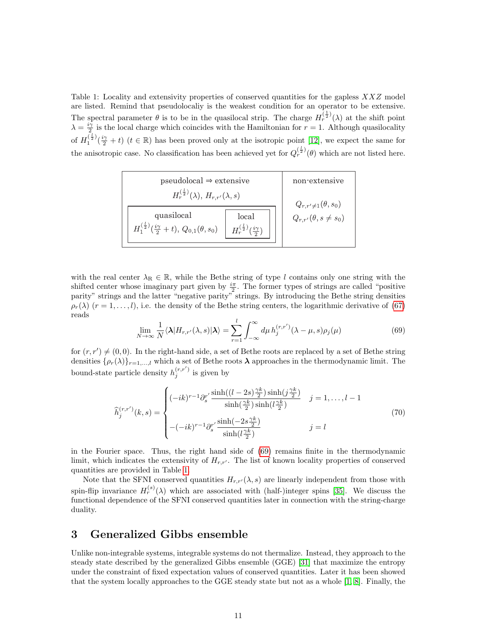<span id="page-10-1"></span>Table 1: Locality and extensivity properties of conserved quantities for the gapless XXZ model are listed. Remind that pseudolocaliy is the weakest condition for an operator to be extensive. The spectral parameter  $\theta$  is to be in the quasilocal strip. The charge  $H_r^{(\frac{1}{2})}(\lambda)$  at the shift point  $\lambda = \frac{i\gamma}{2}$  is the local charge which coincides with the Hamiltonian for  $r = 1$ . Although quasilocality of  $H_1^{(\frac{l}{2})}$  $\frac{(\frac{1}{2})}{1}(\frac{i\gamma}{2}+t)$   $(t \in \mathbb{R})$  has been proved only at the isotropic point [\[12\]](#page-17-5), we expect the same for the anisotropic case. No classification has been achieved yet for  $Q_r^{(\frac{1}{2})}(\theta)$  which are not listed here.

| $pseudolocal \Rightarrow$ extensive                                                                                                 | non-extensive                  |
|-------------------------------------------------------------------------------------------------------------------------------------|--------------------------------|
| $H_r^{\left(\frac{t}{2}\right)}(\lambda), H_{r,r'}(\lambda,s)$                                                                      | $Q_{r,r'\neq 1}(\theta,s_0)$   |
| quasilocal<br>local<br>$H_r^{(\frac{l}{2})}(\frac{i\gamma}{2})$<br>$H_1^{(\frac{l}{2})}(\frac{i\gamma}{2}+t),\,Q_{0,1}(\theta,s_0)$ | $Q_{r,r'}(\theta, s \neq s_0)$ |

with the real center  $\lambda_R \in \mathbb{R}$ , while the Bethe string of type l contains only one string with the shifted center whose imaginary part given by  $\frac{i\pi}{2}$ . The former types of strings are called "positive" parity" strings and the latter "negative parity" strings. By introducing the Bethe string densities  $\rho_r(\lambda)$  (r = 1,...,l), i.e. the density of the Bethe string centers, the logarithmic derivative of [\(67\)](#page-9-1) reads

<span id="page-10-0"></span>
$$
\lim_{N \to \infty} \frac{1}{N} \langle \lambda | H_{r,r'}(\lambda, s) | \lambda \rangle = \sum_{r=1}^{l} \int_{-\infty}^{\infty} d\mu \, h_j^{(r,r')}(\lambda - \mu, s) \rho_j(\mu) \tag{69}
$$

for  $(r, r') \neq (0, 0)$ . In the right-hand side, a set of Bethe roots are replaced by a set of Bethe string densities  $\{\rho_r(\lambda)\}_{r=1,\dots,l}$  which a set of Bethe roots  $\lambda$  approaches in the thermodynamic limit. The bound-state particle density  $h_j^{(r,r')}$  is given by

$$
\hat{h}_j^{(r,r')}(k,s) = \begin{cases}\n(-ik)^{r-1} \partial_s^{r'} \frac{\sinh((l-2s)\frac{\gamma k}{2})\sinh(j\frac{\gamma k}{2})}{\sinh(\frac{\gamma k}{2})\sinh(l\frac{\gamma k}{2})} & j = 1, \dots, l-1 \\
-(-ik)^{r-1} \partial_s^{r'} \frac{\sinh(-2s\frac{\gamma k}{2})}{\sinh(l\frac{\gamma k}{2})} & j = l\n\end{cases}
$$
\n(70)

in the Fourier space. Thus, the right hand side of [\(69\)](#page-10-0) remains finite in the thermodynamic limit, which indicates the extensivity of  $H_{r,r'}$ . The list of known locality properties of conserved quantities are provided in Table [1.](#page-10-1)

Note that the SFNI conserved quantities  $H_{r,r'}(\lambda, s)$  are linearly independent from those with spin-flip invariance  $H_r^{(s)}(\lambda)$  which are associated with (half-)integer spins [\[35\]](#page-18-5). We discuss the functional dependence of the SFNI conserved quantities later in connection with the string-charge duality.

# 3 Generalized Gibbs ensemble

Unlike non-integrable systems, integrable systems do not thermalize. Instead, they approach to the steady state described by the generalized Gibbs ensemble (GGE) [\[31\]](#page-18-3) that maximize the entropy under the constraint of fixed expectation values of conserved quantities. Later it has been showed that the system locally approaches to the GGE steady state but not as a whole [\[1,](#page-17-6) [8\]](#page-17-7). Finally, the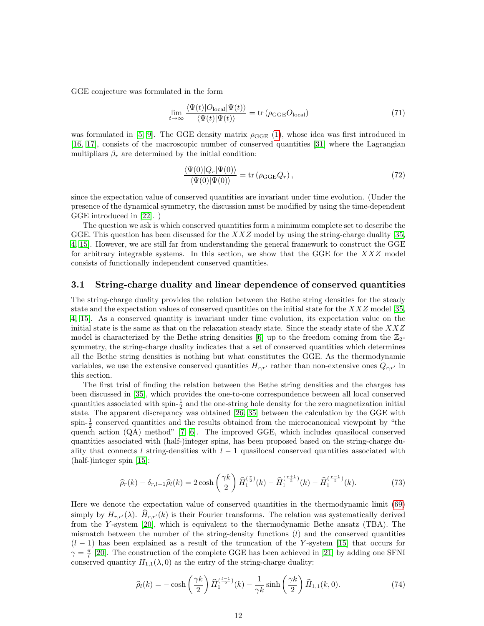GGE conjecture was formulated in the form

$$
\lim_{t \to \infty} \frac{\langle \Psi(t) | O_{\text{local}} | \Psi(t) \rangle}{\langle \Psi(t) | \Psi(t) \rangle} = \text{tr} \left( \rho_{\text{GGE}} O_{\text{local}} \right) \tag{71}
$$

was formulated in [\[5,](#page-17-8) [9\]](#page-17-9). The GGE density matrix  $\rho_{\text{GGE}}(1)$  $\rho_{\text{GGE}}(1)$ , whose idea was first introduced in [\[16,](#page-17-10) [17\]](#page-17-11), consists of the macroscopic number of conserved quantities [\[31\]](#page-18-3) where the Lagrangian multipliars  $\beta_r$  are determined by the initial condition:

$$
\frac{\langle \Psi(0)|Q_r|\Psi(0)\rangle}{\langle \Psi(0)|\Psi(0)\rangle} = \text{tr}\left(\rho_{\text{GGE}}Q_r\right),\tag{72}
$$

since the expectation value of conserved quantities are invariant under time evolution. (Under the presence of the dynamical symmetry, the discussion must be modified by using the time-dependent GGE introduced in [\[22\]](#page-18-15). )

The question we ask is which conserved quantities form a minimum complete set to describe the GGE. This question has been discussed for the  $XXZ$  model by using the string-charge duality [\[35,](#page-18-5) [4,](#page-17-12) [15\]](#page-17-1). However, we are still far from understanding the general framework to construct the GGE for arbitrary integrable systems. In this section, we show that the GGE for the XXZ model consists of functionally independent conserved quantities.

## 3.1 String-charge duality and linear dependence of conserved quantities

The string-charge duality provides the relation between the Bethe string densities for the steady state and the expectation values of conserved quantities on the initial state for the  $XXZ$  model [\[35,](#page-18-5) [4,](#page-17-12) [15\]](#page-17-1). As a conserved quantity is invariant under time evolution, its expectation value on the initial state is the same as that on the relaxation steady state. Since the steady state of the  $XXZ$ model is characterized by the Bethe string densities [\[6\]](#page-17-2) up to the freedom coming from the  $\mathbb{Z}_{2}$ symmetry, the string-charge duality indicates that a set of conserved quantities which determines all the Bethe string densities is nothing but what constitutes the GGE. As the thermodynamic variables, we use the extensive conserved quantities  $H_{r,r'}$  rather than non-extensive ones  $Q_{r,r'}$  in this section.

The first trial of finding the relation between the Bethe string densities and the charges has been discussed in [\[35\]](#page-18-5), which provides the one-to-one correspondence between all local conserved quantities associated with spin- $\frac{1}{2}$  and the one-string hole density for the zero magnetization initial state. The apparent discrepancy was obtained [\[26,](#page-18-16) [35\]](#page-18-5) between the calculation by the GGE with spin- $\frac{1}{2}$  conserved quantities and the results obtained from the microcanonical viewpoint by "the quench action (QA) method" [\[7,](#page-17-13) [6\]](#page-17-2). The improved GGE, which includes quasilocal conserved quantities associated with (half-)integer spins, has been proposed based on the string-charge duality that connects l string-densities with  $l-1$  quasilocal conserved quantities associated with (half-)integer spin [\[15\]](#page-17-1):

$$
\widehat{\rho}_r(k) - \delta_{r,l-1}\widehat{\rho}_l(k) = 2\cosh\left(\frac{\gamma k}{2}\right)\widehat{H}_1^{\left(\frac{r}{2}\right)}(k) - \widehat{H}_1^{\left(\frac{r+1}{2}\right)}(k) - \widehat{H}_1^{\left(\frac{r-1}{2}\right)}(k). \tag{73}
$$

Here we denote the expectation value of conserved quantities in the thermodynamic limit [\(69\)](#page-10-0) simply by  $H_{r,r'}(\lambda)$ .  $H_{r,r'}(k)$  is their Fourier transforms. The relation was systematically derived from the Y -system [\[20\]](#page-18-17), which is equivalent to the thermodynamic Bethe ansatz (TBA). The mismatch between the number of the string-density functions  $(l)$  and the conserved quantities  $(l-1)$  has been explained as a result of the truncation of the Y-system [\[15\]](#page-17-1) that occurs for  $\gamma = \frac{\pi}{l}$  [\[20\]](#page-18-17). The construction of the complete GGE has been achieved in [\[21\]](#page-18-4) by adding one SFNI conserved quantity  $H_{1,1}(\lambda,0)$  as the entry of the string-charge duality:

<span id="page-11-0"></span>
$$
\widehat{\rho}_l(k) = -\cosh\left(\frac{\gamma k}{2}\right)\widehat{H}_1^{(\frac{l-1}{2})}(k) - \frac{1}{\gamma k}\sinh\left(\frac{\gamma k}{2}\right)\widehat{H}_{1,1}(k,0). \tag{74}
$$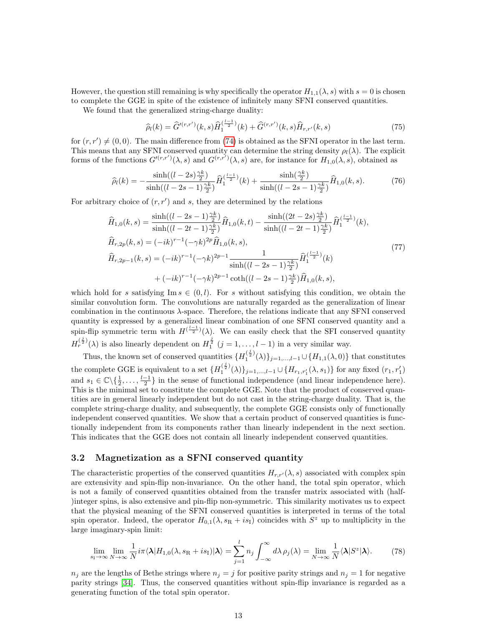However, the question still remaining is why specifically the operator  $H_{1,1}(\lambda, s)$  with  $s = 0$  is chosen to complete the GGE in spite of the existence of infinitely many SFNI conserved quantities.

We found that the generalized string-charge duality:

$$
\widehat{\rho}_l(k) = \widehat{G}^{\prime(r,r')}(k,s)\widehat{H}_1^{\left(\frac{l-1}{2}\right)}(k) + \widehat{G}^{\left(r,r'\right)}(k,s)\widehat{H}_{r,r'}(k,s)
$$
\n(75)

for  $(r, r') \neq (0, 0)$ . The main difference from [\(74\)](#page-11-0) is obtained as the SFNI operator in the last term. This means that any SFNI conserved quantity can determine the string density  $\rho_l(\lambda)$ . The explicit forms of the functions  $G'(r,r')(\lambda,s)$  and  $G(r,r')(\lambda,s)$  are, for instance for  $H_{1,0}(\lambda,s)$ , obtained as

$$
\widehat{\rho}_l(k) = -\frac{\sinh((l-2s)\frac{\gamma k}{2})}{\sinh((l-2s-1)\frac{\gamma k}{2})}\widehat{H}_1^{\left(\frac{l-1}{2}\right)}(k) + \frac{\sinh(\frac{\gamma k}{2})}{\sinh((l-2s-1)\frac{\gamma k}{2})}\widehat{H}_{1,0}(k,s).
$$
(76)

For arbitrary choice of  $(r, r')$  and s, they are determined by the relations

$$
\hat{H}_{1,0}(k,s) = \frac{\sinh((l-2s-1)\frac{\gamma k}{2})}{\sinh((l-2t-1)\frac{\gamma k}{2})}\hat{H}_{1,0}(k,t) - \frac{\sinh((2t-2s)\frac{\gamma k}{2})}{\sinh((l-2t-1)\frac{\gamma k}{2})}\hat{H}_{1}^{(\frac{l-1}{2})}(k),\n\hat{H}_{r,2p}(k,s) = (-ik)^{r-1}(-\gamma k)^{2p}\hat{H}_{1,0}(k,s),\n\hat{H}_{r,2p-1}(k,s) = (-ik)^{r-1}(-\gamma k)^{2p-1}\frac{1}{\sinh((l-2s-1)\frac{\gamma k}{2})}\hat{H}_{1}^{(\frac{l-1}{2})}(k)\n+(-ik)^{r-1}(-\gamma k)^{2p-1}\coth((l-2s-1)\frac{\gamma k}{2})\hat{H}_{1,0}(k,s),
$$
\n(77)

which hold for s satisfying Im  $s \in (0, l)$ . For s without satisfying this condition, we obtain the similar convolution form. The convolutions are naturally regarded as the generalization of linear combination in the continuous  $\lambda$ -space. Therefore, the relations indicate that any SFNI conserved quantity is expressed by a generalized linear combination of one SFNI conserved quantity and a spin-flip symmetric term with  $H^{(\frac{l-1}{2})}(\lambda)$ . We can easily check that the SFI conserved quantity  $H_r^{(\frac{j}{2})}(\lambda)$  is also linearly dependent on  $H_1^{\frac{j}{2}}$   $(j = 1, \ldots, l-1)$  in a very similar way.

Thus, the known set of conserved quantities  $\{H_1^{(\frac{j}{2})}\}$  $\{ {\mathcal{I}}_1^{(5)}(\lambda) \}_{j=1,\ldots,l-1} \cup \{ H_{1,1}(\lambda,0) \}$  that constitutes the complete GGE is equivalent to a set  $\{H_1^{(\frac{j}{2})}\}$  $\{(\frac{1}{2})^{\binom{5}{2}}(\lambda)\}_{j=1,\ldots,l-1} \cup \{H_{r_1,r_1'}(\lambda,s_1)\}\$ for any fixed  $(r_1,r_1')$ and  $s_1 \in \mathbb{C} \setminus \{\frac{1}{2}, \ldots, \frac{l-1}{2}\}\$  in the sense of functional independence (and linear independence here). This is the minimal set to constitute the complete GGE. Note that the product of conserved quantities are in general linearly independent but do not cast in the string-charge duality. That is, the complete string-charge duality, and subsequently, the complete GGE consists only of functionally independent conserved quantities. We show that a certain product of conserved quantities is functionally independent from its components rather than linearly independent in the next section. This indicates that the GGE does not contain all linearly independent conserved quantities.

## 3.2 Magnetization as a SFNI conserved quantity

The characteristic properties of the conserved quantities  $H_{r,r}(\lambda,s)$  associated with complex spin are extensivity and spin-flip non-invariance. On the other hand, the total spin operator, which is not a family of conserved quantities obtained from the transfer matrix associated with (half- )integer spins, is also extensive and pin-flip non-symmetric. This similarity motivates us to expect that the physical meaning of the SFNI conserved quantities is interpreted in terms of the total spin operator. Indeed, the operator  $H_{0,1}(\lambda, s_{\mathbb{R}} + is_{\mathbb{I}})$  coincides with  $S^z$  up to multiplicity in the large imaginary-spin limit:

$$
\lim_{s_{\rm I}\to\infty}\lim_{N\to\infty}\frac{1}{N}i\pi\langle\lambda|H_{1,0}(\lambda,s_{\rm R}+is_{\rm I})|\lambda\rangle=\sum_{j=1}^l n_j\int_{-\infty}^{\infty}d\lambda\,\rho_j(\lambda)=\lim_{N\to\infty}\frac{1}{N}\langle\lambda|S^z|\lambda\rangle.\tag{78}
$$

 $n_j$  are the lengths of Bethe strings where  $n_j = j$  for positive parity strings and  $n_j = 1$  for negative parity strings [\[34\]](#page-18-14). Thus, the conserved quantities without spin-flip invariance is regarded as a generating function of the total spin operator.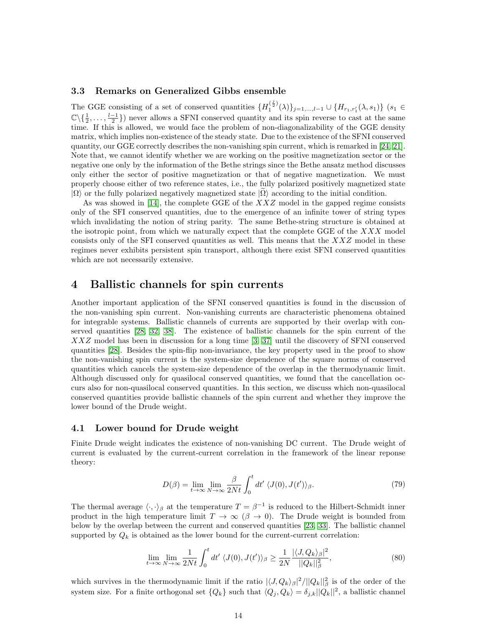## 3.3 Remarks on Generalized Gibbs ensemble

The GGE consisting of a set of conserved quantities  $\{H_1^{(\frac{j}{2})}\}$  $\{ {\binom{1}{2}}^{j} (\lambda) \}_{j=1,...,l-1}$  ∪  $\{ H_{r_1,r_1'} (\lambda, s_1) \}$   $(s_1 \in$  $\mathbb{C}\setminus\{\frac{1}{2},\ldots,\frac{l-1}{2}\}\$  never allows a SFNI conserved quantity and its spin reverse to cast at the same time. If this is allowed, we would face the problem of non-diagonalizability of the GGE density matrix, which implies non-existence of the steady state. Due to the existence of the SFNI conserved quantity, our GGE correctly describes the non-vanishing spin current, which is remarked in [\[24,](#page-18-18) [21\]](#page-18-4). Note that, we cannot identify whether we are working on the positive magnetization sector or the negative one only by the information of the Bethe strings since the Bethe ansatz method discusses only either the sector of positive magnetization or that of negative magnetization. We must properly choose either of two reference states, i.e., the fully polarized positively magnetized state  $|\Omega\rangle$  or the fully polarized negatively magnetized state  $|\Omega\rangle$  according to the initial condition.

As was showed in [\[14\]](#page-17-3), the complete GGE of the  $XXZ$  model in the gapped regime consists only of the SFI conserved quantities, due to the emergence of an infinite tower of string types which invalidating the notion of string parity. The same Bethe-string structure is obtained at the isotropic point, from which we naturally expect that the complete GGE of the  $XXX$  model consists only of the SFI conserved quantities as well. This means that the  $XXZ$  model in these regimes never exhibits persistent spin transport, although there exist SFNI conserved quantities which are not necessarily extensive.

## 4 Ballistic channels for spin currents

Another important application of the SFNI conserved quantities is found in the discussion of the non-vanishing spin current. Non-vanishing currents are characteristic phenomena obtained for integrable systems. Ballistic channels of currents are supported by their overlap with conserved quantities [\[28,](#page-18-0) [32,](#page-18-6) [38\]](#page-18-7). The existence of ballistic channels for the spin current of the XXZ model has been in discussion for a long time [\[3,](#page-17-14) [37\]](#page-18-10) until the discovery of SFNI conserved quantities [\[28\]](#page-18-0). Besides the spin-flip non-invariance, the key property used in the proof to show the non-vanishing spin current is the system-size dependence of the square norms of conserved quantities which cancels the system-size dependence of the overlap in the thermodynamic limit. Although discussed only for quasilocal conserved quantities, we found that the cancellation occurs also for non-quasilocal conserved quantities. In this section, we discuss which non-quasilocal conserved quantities provide ballistic channels of the spin current and whether they improve the lower bound of the Drude weight.

### 4.1 Lower bound for Drude weight

Finite Drude weight indicates the existence of non-vanishing DC current. The Drude weight of current is evaluated by the current-current correlation in the framework of the linear reponse theory:

$$
D(\beta) = \lim_{t \to \infty} \lim_{N \to \infty} \frac{\beta}{2Nt} \int_0^t dt' \langle J(0), J(t') \rangle_{\beta}.
$$
 (79)

The thermal average  $\langle \cdot, \cdot \rangle_{\beta}$  at the temperature  $T = \beta^{-1}$  is reduced to the Hilbert-Schmidt inner product in the high temperature limit  $T \to \infty$  ( $\beta \to 0$ ). The Drude weight is bounded from below by the overlap between the current and conserved quantities [\[23,](#page-18-8) [33\]](#page-18-9). The ballistic channel supported by  $Q_k$  is obtained as the lower bound for the current-current correlation:

<span id="page-13-0"></span>
$$
\lim_{t \to \infty} \lim_{N \to \infty} \frac{1}{2Nt} \int_0^t dt' \langle J(0), J(t') \rangle_\beta \ge \frac{1}{2N} \frac{|\langle J, Q_k \rangle_\beta|^2}{||Q_k||_\beta^2},\tag{80}
$$

which survives in the thermodynamic limit if the ratio  $|\langle J, Q_k \rangle_\beta|^2 / ||Q_k||_\beta^2$  is of the order of the system size. For a finite orthogonal set  $\{Q_k\}$  such that  $\langle Q_j, Q_k \rangle = \delta_{j,k} ||Q_k||^2$ , a ballistic channel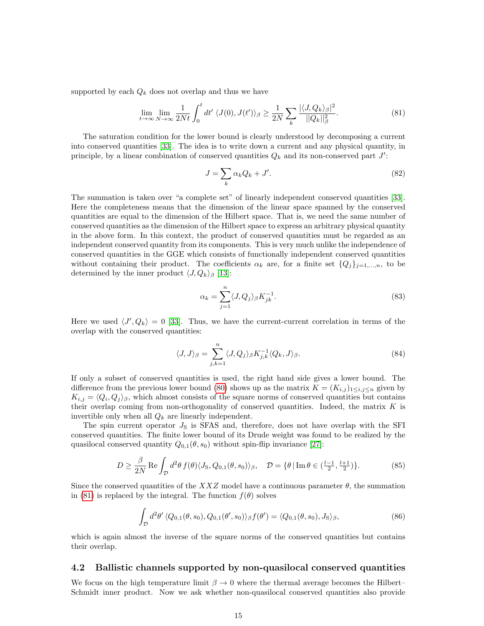supported by each  $Q_k$  does not overlap and thus we have

<span id="page-14-0"></span>
$$
\lim_{t \to \infty} \lim_{N \to \infty} \frac{1}{2Nt} \int_0^t dt' \langle J(0), J(t') \rangle_\beta \ge \frac{1}{2N} \sum_k \frac{|\langle J, Q_k \rangle_\beta|^2}{||Q_k||_\beta^2}.
$$
\n(81)

The saturation condition for the lower bound is clearly understood by decomposing a current into conserved quantities [\[33\]](#page-18-9). The idea is to write down a current and any physical quantity, in principle, by a linear combination of conserved quantities  $Q_k$  and its non-conserved part  $J'$ :

$$
J = \sum_{k} \alpha_k Q_k + J'.
$$
\n(82)

The summation is taken over "a complete set" of linearly independent conserved quantities [\[33\]](#page-18-9). Here the completeness means that the dimension of the linear space spanned by the conserved quantities are equal to the dimension of the Hilbert space. That is, we need the same number of conserved quantities as the dimension of the Hilbert space to express an arbitrary physical quantity in the above form. In this context, the product of conserved quantities must be regarded as an independent conserved quantity from its components. This is very much unlike the independence of conserved quantities in the GGE which consists of functionally independent conserved quantities without containing their product. The coefficients  $\alpha_k$  are, for a finite set  $\{Q_j\}_{j=1,\dots,n}$ , to be determined by the inner product  $\langle J, Q_k \rangle_\beta$  [\[13\]](#page-17-0):

$$
\alpha_k = \sum_{j=1}^n \langle J, Q_j \rangle_\beta K_{jk}^{-1}.\tag{83}
$$

Here we used  $\langle J', Q_k \rangle = 0$  [\[33\]](#page-18-9). Thus, we have the current-current correlation in terms of the overlap with the conserved quantities:

$$
\langle J, J \rangle_{\beta} = \sum_{j,k=1}^{n} \langle J, Q_j \rangle_{\beta} K_{j,k}^{-1} \langle Q_k, J \rangle_{\beta}.
$$
 (84)

If only a subset of conserved quantities is used, the right hand side gives a lower bound. The difference from the previous lower bound [\(80\)](#page-13-0) shows up as the matrix  $K = (K_{i,j})_{1 \leq i,j \leq n}$  given by  $K_{i,j} = \langle Q_i, Q_j \rangle_{\beta}$ , which almost consists of the square norms of conserved quantities but contains their overlap coming from non-orthogonality of conserved quantities. Indeed, the matrix  $K$  is invertible only when all  $Q_k$  are linearly independent.

The spin current operator  $J<sub>S</sub>$  is SFAS and, therefore, does not have overlap with the SFI conserved quantities. The finite lower bound of its Drude weight was found to be realized by the quasilocal conserved quantity  $Q_{0,1}(\theta, s_0)$  without spin-flip invariance [\[27\]](#page-18-1):

$$
D \ge \frac{\beta}{2N} \operatorname{Re} \int_{\mathcal{D}} d^2 \theta f(\theta) \langle J_S, Q_{0,1}(\theta, s_0) \rangle_{\beta}, \quad \mathcal{D} = \{ \theta \, | \operatorname{Im} \theta \in \left( \frac{l-1}{2}, \frac{l+1}{2} \right) \}.
$$
 (85)

Since the conserved quantities of the XXZ model have a continuous parameter  $\theta$ , the summation in [\(81\)](#page-14-0) is replaced by the integral. The function  $f(\theta)$  solves

$$
\int_{\mathcal{D}} d^2\theta' \langle Q_{0,1}(\theta, s_0), Q_{0,1}(\theta', s_0) \rangle_{\beta} f(\theta') = \langle Q_{0,1}(\theta, s_0), J_{\mathcal{S}} \rangle_{\beta},
$$
\n(86)

which is again almost the inverse of the square norms of the conserved quantities but contains their overlap.

#### 4.2 Ballistic channels supported by non-quasilocal conserved quantities

We focus on the high temperature limit  $\beta \to 0$  where the thermal average becomes the Hilbert– Schmidt inner product. Now we ask whether non-quasilocal conserved quantities also provide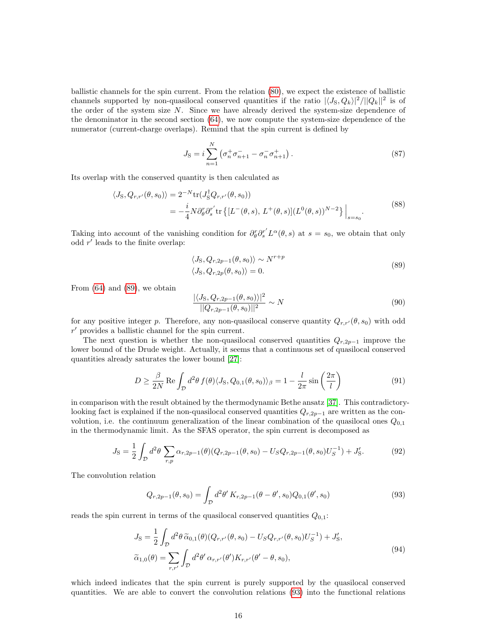ballistic channels for the spin current. From the relation [\(80\)](#page-13-0), we expect the existence of ballistic channels supported by non-quasilocal conserved quantities if the ratio  $|\langle J_S, Q_k\rangle|^2 / ||Q_k||^2$  is of the order of the system size N. Since we have already derived the system-size dependence of the denominator in the second section [\(64\)](#page-9-2), we now compute the system-size dependence of the numerator (current-charge overlaps). Remind that the spin current is defined by

$$
J_{\rm S} = i \sum_{n=1}^{N} \left( \sigma_n^+ \sigma_{n+1}^- - \sigma_n^- \sigma_{n+1}^+ \right). \tag{87}
$$

Its overlap with the conserved quantity is then calculated as

$$
\langle J_S, Q_{r,r'}(\theta, s_0) \rangle = 2^{-N} \text{tr}(J_S^{\dagger} Q_{r,r'}(\theta, s_0))
$$
  
=  $-\frac{i}{4} N \partial_{\theta}^r \partial_s^{r'} \text{tr}\left\{ [L^-(\theta, s), L^+(\theta, s)] (L^0(\theta, s))^{N-2} \right\} \Big|_{s=s_0}.$  (88)

Taking into account of the vanishing condition for  $\partial_{\theta}^{r} \partial_{s}^{r'} L^{\alpha}(\theta, s)$  at  $s = s_0$ , we obtain that only odd  $r'$  leads to the finite overlap:

$$
\langle J_S, Q_{r,2p-1}(\theta, s_0) \rangle \sim N^{r+p}
$$
  

$$
\langle J_S, Q_{r,2p}(\theta, s_0) \rangle = 0.
$$
 (89)

<span id="page-15-0"></span>From  $(64)$  and  $(89)$ , we obtain

$$
\frac{|\langle J_S, Q_{r,2p-1}(\theta, s_0) \rangle|^2}{||Q_{r,2p-1}(\theta, s_0)||^2} \sim N
$$
\n(90)

for any positive integer p. Therefore, any non-quasilocal conserve quantity  $Q_{r,r}(\theta, s_0)$  with odd  $r'$  provides a ballistic channel for the spin current.

The next question is whether the non-quasilocal conserved quantities  $Q_{r,2p-1}$  improve the lower bound of the Drude weight. Actually, it seems that a continuous set of quasilocal conserved quantities already saturates the lower bound [\[27\]](#page-18-1):

$$
D \ge \frac{\beta}{2N} \operatorname{Re} \int_{\mathcal{D}} d^2 \theta f(\theta) \langle J_S, Q_{0,1}(\theta, s_0) \rangle_{\beta} = 1 - \frac{l}{2\pi} \sin\left(\frac{2\pi}{l}\right)
$$
(91)

in comparison with the result obtained by the thermodynamic Bethe ansatz [\[37\]](#page-18-10). This contradictorylooking fact is explained if the non-quasilocal conserved quantities  $Q_{r,2p-1}$  are written as the convolution, i.e. the continuum generalization of the linear combination of the quasilocal ones  $Q_{0,1}$ in the thermodynamic limit. As the SFAS operator, the spin current is decomposed as

$$
J_{\rm S} = \frac{1}{2} \int_{\mathcal{D}} d^2 \theta \sum_{r,p} \alpha_{r,2p-1}(\theta) (Q_{r,2p-1}(\theta,s_0) - U_S Q_{r,2p-1}(\theta,s_0) U_S^{-1}) + J'_{\rm S}.
$$
 (92)

<span id="page-15-1"></span>The convolution relation

$$
Q_{r,2p-1}(\theta,s_0) = \int_{\mathcal{D}} d^2\theta' K_{r,2p-1}(\theta - \theta',s_0) Q_{0,1}(\theta',s_0)
$$
\n(93)

reads the spin current in terms of the quasilocal conserved quantities  $Q_{0,1}$ :

$$
J_{\rm S} = \frac{1}{2} \int_{\mathcal{D}} d^2 \theta \, \widetilde{\alpha}_{0,1}(\theta) (Q_{r,r'}(\theta, s_0) - U_S Q_{r,r'}(\theta, s_0) U_S^{-1}) + J'_{\rm S},
$$
  

$$
\widetilde{\alpha}_{1,0}(\theta) = \sum_{r,r'} \int_{\mathcal{D}} d^2 \theta' \, \alpha_{r,r'}(\theta') K_{r,r'}(\theta' - \theta, s_0), \tag{94}
$$

which indeed indicates that the spin current is purely supported by the quasilocal conserved quantities. We are able to convert the convolution relations [\(93\)](#page-15-1) into the functional relations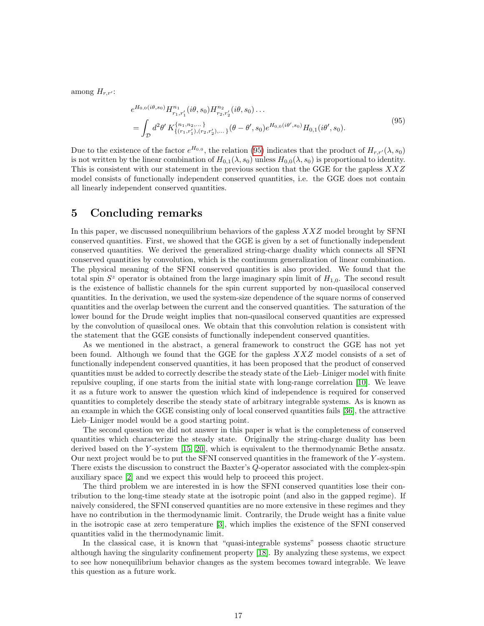<span id="page-16-0"></span>among  $H_{r,r'}$ :

$$
e^{H_{0,0}(i\theta,s_0)}H_{r_1,r'_1}^{n_1}(i\theta,s_0)H_{r_2,r'_2}^{n_2}(i\theta,s_0)\dots
$$
  
= 
$$
\int_{\mathcal{D}} d^2\theta' K_{\{(r_1,r'_1),(r_2,r'_2),\dots\}}^{n_1,n_2,\dots}(\theta-\theta',s_0)e^{H_{0,0}(i\theta',s_0)}H_{0,1}(i\theta',s_0).
$$
 (95)

Due to the existence of the factor  $e^{H_{0,0}}$ , the relation [\(95\)](#page-16-0) indicates that the product of  $H_{r,r'}(\lambda, s_0)$ is not written by the linear combination of  $H_{0,1}(\lambda, s_0)$  unless  $H_{0,0}(\lambda, s_0)$  is proportional to identity. This is consistent with our statement in the previous section that the GGE for the gapless  $XXZ$ model consists of functionally independent conserved quantities, i.e. the GGE does not contain all linearly independent conserved quantities.

# 5 Concluding remarks

In this paper, we discussed nonequilibrium behaviors of the gapless  $XXZ$  model brought by SFNI conserved quantities. First, we showed that the GGE is given by a set of functionally independent conserved quantities. We derived the generalized string-charge duality which connects all SFNI conserved quantities by convolution, which is the continuum generalization of linear combination. The physical meaning of the SFNI conserved quantities is also provided. We found that the total spin  $S^z$  operator is obtained from the large imaginary spin limit of  $H_{1,0}$ . The second result is the existence of ballistic channels for the spin current supported by non-quasilocal conserved quantities. In the derivation, we used the system-size dependence of the square norms of conserved quantities and the overlap between the current and the conserved quantities. The saturation of the lower bound for the Drude weight implies that non-quasilocal conserved quantities are expressed by the convolution of quasilocal ones. We obtain that this convolution relation is consistent with the statement that the GGE consists of functionally independent conserved quantities.

As we mentioned in the abstract, a general framework to construct the GGE has not yet been found. Although we found that the GGE for the gapless  $XXZ$  model consists of a set of functionally independent conserved quantities, it has been proposed that the product of conserved quantities must be added to correctly describe the steady state of the Lieb–Liniger model with finite repulsive coupling, if one starts from the initial state with long-range correlation [\[10\]](#page-17-15). We leave it as a future work to answer the question which kind of independence is required for conserved quantities to completely describe the steady state of arbitrary integrable systems. As is known as an example in which the GGE consisting only of local conserved quantities fails [\[36\]](#page-18-19), the attractive Lieb–Liniger model would be a good starting point.

The second question we did not answer in this paper is what is the completeness of conserved quantities which characterize the steady state. Originally the string-charge duality has been derived based on the Y-system [\[15,](#page-17-1) [20\]](#page-18-17), which is equivalent to the thermodynamic Bethe ansatz. Our next project would be to put the SFNI conserved quantities in the framework of the Y -system. There exists the discussion to construct the Baxter's Q-operator associated with the complex-spin auxiliary space [\[2\]](#page-17-16) and we expect this would help to proceed this project.

The third problem we are interested in is how the SFNI conserved quantities lose their contribution to the long-time steady state at the isotropic point (and also in the gapped regime). If naively considered, the SFNI conserved quantities are no more extensive in these regimes and they have no contribution in the thermodynamic limit. Contrarily, the Drude weight has a finite value in the isotropic case at zero temperature [\[3\]](#page-17-14), which implies the existence of the SFNI conserved quantities valid in the thermodynamic limit.

In the classical case, it is known that "quasi-integrable systems" possess chaotic structure although having the singularity confinement property [\[18\]](#page-17-17). By analyzing these systems, we expect to see how nonequilibrium behavior changes as the system becomes toward integrable. We leave this question as a future work.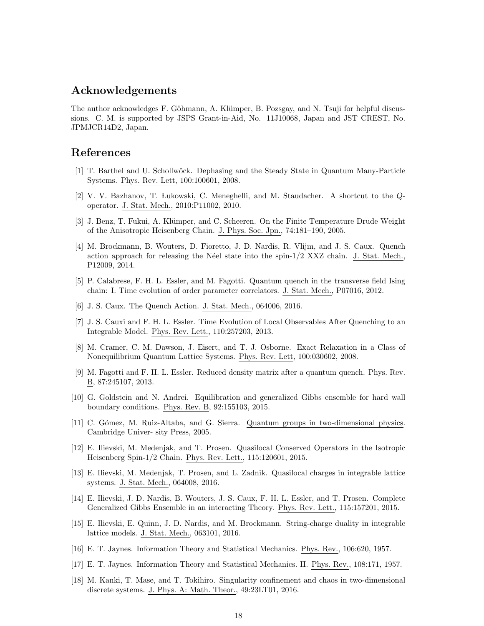# Acknowledgements

The author acknowledges F. Göhmann, A. Klümper, B. Pozsgay, and N. Tsuji for helpful discussions. C. M. is supported by JSPS Grant-in-Aid, No. 11J10068, Japan and JST CREST, No. JPMJCR14D2, Japan.

## References

- <span id="page-17-6"></span>[1] T. Barthel and U. Schollw¨ock. Dephasing and the Steady State in Quantum Many-Particle Systems. Phys. Rev. Lett, 100:100601, 2008.
- <span id="page-17-16"></span>[2] V. V. Bazhanov, T. Lukowski, C. Meneghelli, and M. Staudacher. A shortcut to the Qoperator. J. Stat. Mech., 2010:P11002, 2010.
- <span id="page-17-14"></span>[3] J. Benz, T. Fukui, A. Klümper, and C. Scheeren. On the Finite Temperature Drude Weight of the Anisotropic Heisenberg Chain. J. Phys. Soc. Jpn., 74:181–190, 2005.
- <span id="page-17-12"></span>[4] M. Brockmann, B. Wouters, D. Fioretto, J. D. Nardis, R. Vlijm, and J. S. Caux. Quench action approach for releasing the Néel state into the spin- $1/2$  XXZ chain. J. Stat. Mech., P12009, 2014.
- <span id="page-17-8"></span>[5] P. Calabrese, F. H. L. Essler, and M. Fagotti. Quantum quench in the transverse field Ising chain: I. Time evolution of order parameter correlators. J. Stat. Mech., P07016, 2012.
- <span id="page-17-2"></span>[6] J. S. Caux. The Quench Action. J. Stat. Mech., 064006, 2016.
- <span id="page-17-13"></span>[7] J. S. Cauxi and F. H. L. Essler. Time Evolution of Local Observables After Quenching to an Integrable Model. Phys. Rev. Lett., 110:257203, 2013.
- <span id="page-17-7"></span>[8] M. Cramer, C. M. Dawson, J. Eisert, and T. J. Osborne. Exact Relaxation in a Class of Nonequilibrium Quantum Lattice Systems. Phys. Rev. Lett, 100:030602, 2008.
- <span id="page-17-9"></span>[9] M. Fagotti and F. H. L. Essler. Reduced density matrix after a quantum quench. Phys. Rev. B, 87:245107, 2013.
- <span id="page-17-15"></span>[10] G. Goldstein and N. Andrei. Equilibration and generalized Gibbs ensemble for hard wall boundary conditions. Phys. Rev. B, 92:155103, 2015.
- <span id="page-17-4"></span>[11] C. G´omez, M. Ruiz-Altaba, and G. Sierra. Quantum groups in two-dimensional physics. Cambridge Univer- sity Press, 2005.
- <span id="page-17-5"></span>[12] E. Ilievski, M. Medenjak, and T. Prosen. Quasilocal Conserved Operators in the Isotropic Heisenberg Spin-1/2 Chain. Phys. Rev. Lett., 115:120601, 2015.
- <span id="page-17-0"></span>[13] E. Ilievski, M. Medenjak, T. Prosen, and L. Zadnik. Quasilocal charges in integrable lattice systems. J. Stat. Mech., 064008, 2016.
- <span id="page-17-3"></span>[14] E. Ilievski, J. D. Nardis, B. Wouters, J. S. Caux, F. H. L. Essler, and T. Prosen. Complete Generalized Gibbs Ensemble in an interacting Theory. Phys. Rev. Lett., 115:157201, 2015.
- <span id="page-17-1"></span>[15] E. Ilievski, E. Quinn, J. D. Nardis, and M. Brockmann. String-charge duality in integrable lattice models. J. Stat. Mech., 063101, 2016.
- <span id="page-17-10"></span>[16] E. T. Jaynes. Information Theory and Statistical Mechanics. Phys. Rev., 106:620, 1957.
- <span id="page-17-11"></span>[17] E. T. Jaynes. Information Theory and Statistical Mechanics. II. Phys. Rev., 108:171, 1957.
- <span id="page-17-17"></span>[18] M. Kanki, T. Mase, and T. Tokihiro. Singularity confinement and chaos in two-dimensional discrete systems. J. Phys. A: Math. Theor., 49:23LT01, 2016.